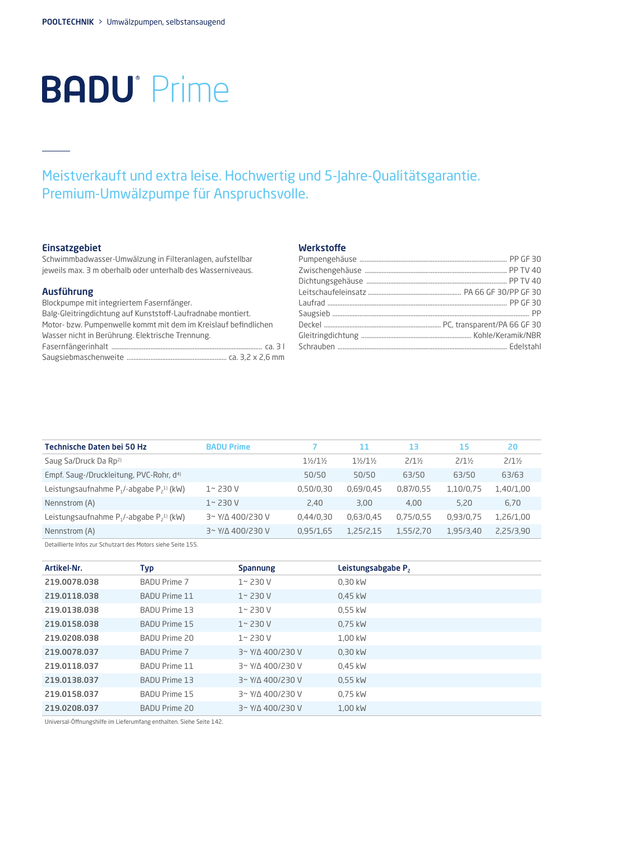# **BADU**<sup>•</sup> Prime

## Meistverkauft und extra leise. Hochwertig und 5-Jahre-Qualitätsgarantie. Premium-Umwälzpumpe für Anspruchsvolle.

### Einsatzgebiet

Schwimmbadwasser-Umwälzung in Filteranlagen, aufstellbar jeweils max. 3 m oberhalb oder unterhalb des Wasserniveaus.

#### Ausführung

| Blockpumpe mit integriertem Fasernfänger.                       |
|-----------------------------------------------------------------|
| Balg-Gleitringdichtung auf Kunststoff-Laufradnabe montiert.     |
| Motor- bzw. Pumpenwelle kommt mit dem im Kreislauf befindlichen |
| Wasser nicht in Berührung. Elektrische Trennung.                |
|                                                                 |
|                                                                 |
|                                                                 |

### Werkstoffe

| Technische Daten bei 50 Hz                                | <b>BADU Prime</b>          |                | 11             | 13               | 15               | 20               |
|-----------------------------------------------------------|----------------------------|----------------|----------------|------------------|------------------|------------------|
| Saug Sa/Druck Da Rp <sup>2)</sup>                         |                            | $1\frac{1}{2}$ | $1\frac{1}{2}$ | $2/1\frac{1}{2}$ | $2/1\frac{1}{2}$ | $2/1\frac{1}{2}$ |
| Empf. Saug-/Druckleitung, PVC-Rohr, d <sup>4)</sup>       |                            | 50/50          | 50/50          | 63/50            | 63/50            | 63/63            |
| Leistungsaufnahme $P_1$ /-abgabe $P_2$ <sup>1)</sup> (kW) | $1 - 230V$                 | 0.50/0.30      | 0,69/0,45      | 0,87/0,55        | 1,10/0,75        | 1,40/1,00        |
| Nennstrom (A)                                             | $1 - 230V$                 | 2,40           | 3,00           | 4,00             | 5,20             | 6,70             |
| Leistungsaufnahme $P_1$ /-abgabe $P_2$ <sup>1)</sup> (kW) | $3'$ Y/ $\Delta$ 400/230 V | 0.44/0.30      | 0,63/0,45      | 0,75/0,55        | 0.93/0.75        | 1,26/1,00        |
| Nennstrom (A)                                             | $3'$ Y/ $\Delta$ 400/230 V | 0.95/1.65      | 1,25/2,15      | 1,55/2,70        | 1,95/3,40        | 2,25/3,90        |

Detaillierte Infos zur Schutzart des Motors siehe Seite 155.

| Artikel-Nr.  | Typ                  | <b>Spannung</b>            | Leistungsabgabe P <sub>2</sub> |
|--------------|----------------------|----------------------------|--------------------------------|
| 219.0078.038 | <b>BADU Prime 7</b>  | $1 - 230V$                 | 0,30 kW                        |
| 219.0118.038 | <b>BADU Prime 11</b> | $1 - 230V$                 | 0.45 kW                        |
| 219.0138.038 | BADU Prime 13        | $1 - 230V$                 | $0.55$ kW                      |
| 219.0158.038 | <b>BADU Prime 15</b> | $1 - 230V$                 | 0.75 kW                        |
| 219.0208.038 | BADU Prime 20        | $1 - 230V$                 | 1,00 kW                        |
| 219.0078.037 | <b>BADU Prime 7</b>  | 3~ Y/A 400/230 V           | 0,30 kW                        |
| 219.0118.037 | <b>BADU Prime 11</b> | 3~ Y/A 400/230 V           | 0.45 kW                        |
| 219.0138.037 | BADU Prime 13        | $3'$ Y/ $\Delta$ 400/230 V | $0.55$ kW                      |
| 219.0158.037 | <b>BADU Prime 15</b> | $3'$ Y/ $\Delta$ 400/230 V | 0.75 kW                        |
| 219.0208.037 | BADU Prime 20        | $3'$ Y/ $\Delta$ 400/230 V | 1,00 kW                        |

Universal-Öffnungshilfe im Lieferumfang enthalten. Siehe Seite 142.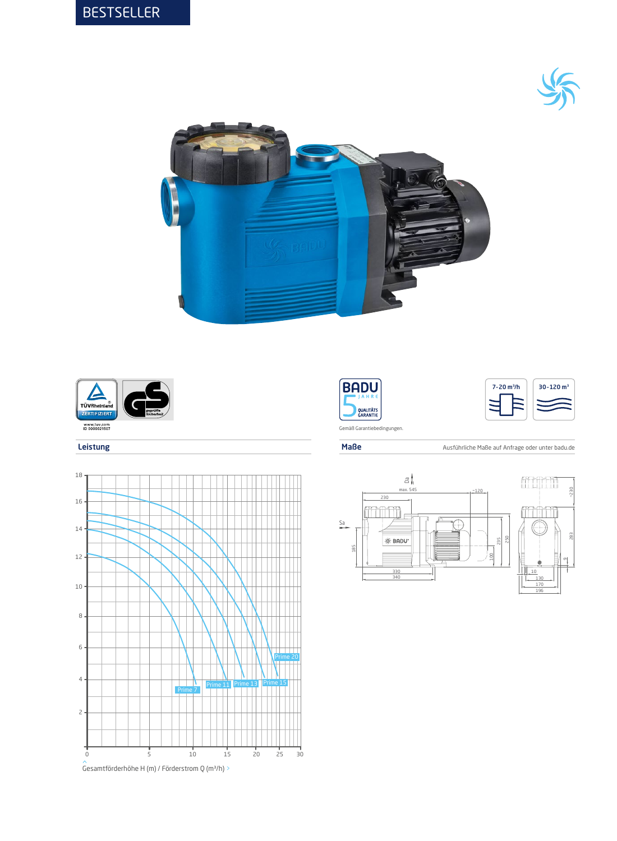













Leistung Maße Ausführliche Maße Ausführliche Maße Ausführliche Maße auf Anfrage oder unter badu.de

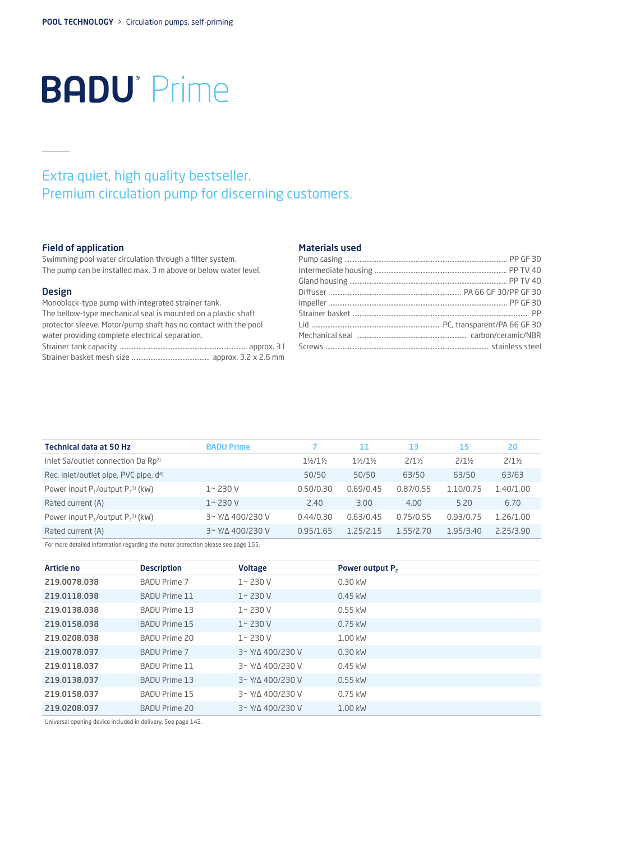# **BADU**<sup>•</sup> Prime

## Extra quiet, high quality bestseller. Premium circulation pump for discerning customers.

### Field of application

Swimming pool water circulation through a filter system. The pump can be installed max. 3 m above or below water level.

### Design

Monoblock-type pump with integrated strainer tank. The bellow-type mechanical seal is mounted on a plastic shaft protector sleeve. Motor/pump shaft has no contact with the pool water providing complete electrical separation. Strainer tank capacity ........................................................................... approx. 3 l

| outuner turns capacity minimummummummummummummum approxi o r |  |  |  |  |
|--------------------------------------------------------------|--|--|--|--|
|                                                              |  |  |  |  |

#### Materials used

| <b>Technical data at 50 Hz</b>                     | <b>BADU Prime</b>          |                | 11             | 13               | 15               | 20               |
|----------------------------------------------------|----------------------------|----------------|----------------|------------------|------------------|------------------|
| Inlet Sa/outlet connection Da Rp <sup>2)</sup>     |                            | $1\frac{1}{2}$ | $1\frac{1}{2}$ | $2/1\frac{1}{2}$ | $2/1\frac{1}{2}$ | $2/1\frac{1}{2}$ |
| Rec. inlet/outlet pipe, PVC pipe, d <sup>4)</sup>  |                            | 50/50          | 50/50          | 63/50            | 63/50            | 63/63            |
| Power input $P_1$ /output $P_2$ <sup>1)</sup> (kW) | $1 - 230V$                 | 0.50/0.30      | 0.69/0.45      | 0.87/0.55        | 1.10/0.75        | 1.40/1.00        |
| Rated current (A)                                  | $1 - 230V$                 | 2.40           | 3.00           | 4.00             | 5.20             | 6.70             |
| Power input $P_1$ /output $P_2$ <sup>1)</sup> (kW) | $3'$ Y/ $\Delta$ 400/230 V | 0.44/0.30      | 0.63/0.45      | 0.75/0.55        | 0.93/0.75        | 1.26/1.00        |
| Rated current (A)                                  | $3'$ Y/ $\Delta$ 400/230 V | 0.95/1.65      | 1 25/2 15      | 1.55/2.70        | 1.95/3.40        | 2.25/3.90        |

For more detailed information regarding the motor protection please see page 155.

| Article no   | <b>Description</b>   | <b>Voltage</b>             | Power output P <sub>2</sub> |
|--------------|----------------------|----------------------------|-----------------------------|
| 219.0078.038 | <b>BADU Prime 7</b>  | $1 - 230V$                 | $0.30$ kW                   |
| 219.0118.038 | <b>BADU Prime 11</b> | $1 - 230V$                 | $0.45$ kW                   |
| 219.0138.038 | <b>BADU Prime 13</b> | $1 - 230V$                 | $0.55$ kW                   |
| 219.0158.038 | <b>BADU Prime 15</b> | $1 - 230V$                 | 0.75 kW                     |
| 219.0208.038 | BADU Prime 20        | $1 - 230V$                 | 1.00 kW                     |
| 219.0078.037 | <b>BADU Prime 7</b>  | 3~ Y/A 400/230 V           | $0.30$ kW                   |
| 219.0118.037 | <b>BADU Prime 11</b> | 3~ Y/A 400/230 V           | $0.45$ kW                   |
| 219.0138.037 | <b>BADU Prime 13</b> | 3~ Y/A 400/230 V           | $0.55$ kW                   |
| 219.0158.037 | <b>BADU Prime 15</b> | 3~ Y/A 400/230 V           | $0.75$ kW                   |
| 219.0208.037 | <b>BADU Prime 20</b> | $3'$ Y/ $\Delta$ 400/230 V | 1.00 kW                     |

Universal opening device included in delivery. See page 142.